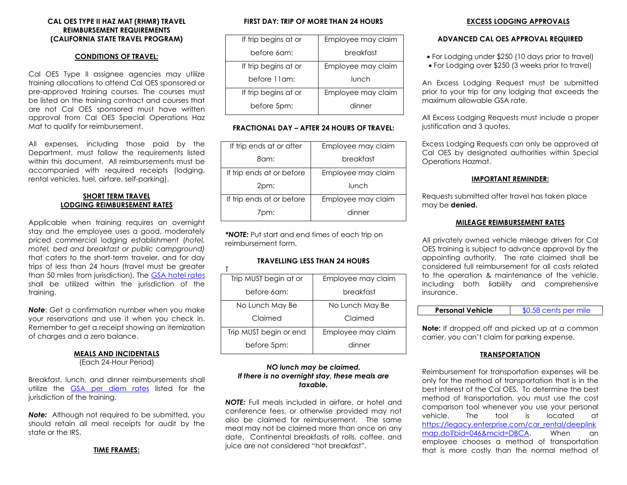## **CAL OES TYPE II HAZ MAT (RHMR) TRAVEL REIMBURSEMENT REQUIREMENTS (CALIFORNIA STATE TRAVEL PROGRAM)**

#### **CONDITIONS OF TRAVEL:**

 Cal OES Type II assignee agencies may utilize training allocations to attend Cal OES sponsored or be listed on the training contract and courses that are not Cal OES sponsored must have written pre-approved training courses. The courses must approval from Cal OES Special Operations Haz Mat to qualify for reimbursement.

 Department, must follow the requirements listed within this document. All reimbursements must be accompanied with required receipts (lodging, All expenses, including those paid by the rental vehicles, fuel, airfare, self-parking).

## **SHORT TERM TRAVEL LODGING REIMBURSEMENT RATES**

 trips of less than 24 hours (travel must be greater shall be utilized within the jurisdiction of the training. Applicable when training requires an overnight stay and the employee uses a good, moderately priced commercial lodging establishment (*hotel, motel, bed and breakfast or public campground)*  that caters to the short-term traveler, and for day than 50 miles from jurisdiction). The [GSA hotel rates](https://www.gsa.gov/travel/plan-book/per-diem-rates) 

 your reservations and use it when you check in. Remember to get a receipt showing an itemization *Note*: Get a confirmation number when you make of charges and a zero balance.

#### **MEALS AND INCIDENTALS**

(Each 24-Hour Period)

utilize the **GSA per diem rates** listed for the Breakfast, lunch, and dinner reimbursements shall jurisdiction of the training.

 *Note:* Although not required to be submitted, you should retain all meal receipts for audit by the state or the IRS.

#### **TIME FRAMES:**

#### **FIRST DAY: TRIP OF MORE THAN 24 HOURS**

| If trip begins at or | Employee may claim |
|----------------------|--------------------|
| before 6am:          | breakfast          |
| If trip begins at or | Employee may claim |
| before 11am:         | lunch              |
| If trip begins at or | Employee may claim |
| before 5pm:          | dinner             |

## **FRACTIONAL DAY – AFTER 24 HOURS OF TRAVEL:**

| If trip ends at or after  | Employee may claim |
|---------------------------|--------------------|
| 8am:                      | breakfast          |
| If trip ends at or before | Employee may claim |
|                           |                    |
| 2pm:                      | lunch              |
| If trip ends at or before | Employee may claim |

 *\*NOTE:* Put start and end times of each trip on reimbursement form.

 $T$ 

# **TRAVELLING LESS THAN 24 HOURS**

| Trip MUST begin at or  | Employee may claim |
|------------------------|--------------------|
| before 6am:            | breakfast          |
| No Lunch May Be        | No Lunch May Be    |
| Claimed                | Claimed            |
| Trip MUST begin or end | Employee may claim |
| before 5pm:            | dinner             |

## *NO lunch may be claimed. If there is no overnight stay, these meals are taxable.*

 conference fees, or otherwise provided may not juice are not considered "hot breakfast". *NOTE:* Full meals included in airfare, or hotel and also be claimed for reimbursement. The same meal may not be claimed more than once on any date. Continental breakfasts of rolls, coffee, and

### **EXCESS LODGING APPROVALS**

#### **ADVANCED CAL OES APPROVAL REQUIRED**

- For Lodging under \$250 (10 days prior to travel)
- For Lodging over \$250 (3 weeks prior to travel)

An Excess Lodging Request must be submitted prior to your trip for any lodging that exceeds the maximum allowable GSA rate.

All Excess Lodging Requests must include a proper justification and 3 quotes.

Excess Lodging Requests can only be approved at Cal OES by designated authorities within Special Operations Hazmat.

#### **IMPORTANT REMINDER:**

Requests submitted after travel has taken place may be **denied.** 

#### **MILEAGE REIMBURSEMENT RATES**

 All privately owned vehicle mileage driven for Cal OES training is subject to advance approval by the to the operation & maintenance of the vehicle, appointing authority. The rate claimed shall be considered full reimbursement for all costs related including both liability and comprehensive insurance.

 **Note:** If dropped off and picked up at a common carrier, you can't claim for parking expense.

#### **TRANSPORTATION**

 Reimbursement for transportation expenses will be only for the method of transportation that is in the best interest of the Cal OES. To determine the best employee chooses a method of transportation method of transportation, you must use the cost comparison tool whenever you use your personal vehicle. The tool is located at https://legacy.enterprise.com/car\_rental/deeplink [map.do?bid=046&mcid=DBCA.](https://legacy.enterprise.com/car_rental/deeplinkmap.do?bid=046&mcid=DBCA) When an that is more costly than the normal method of